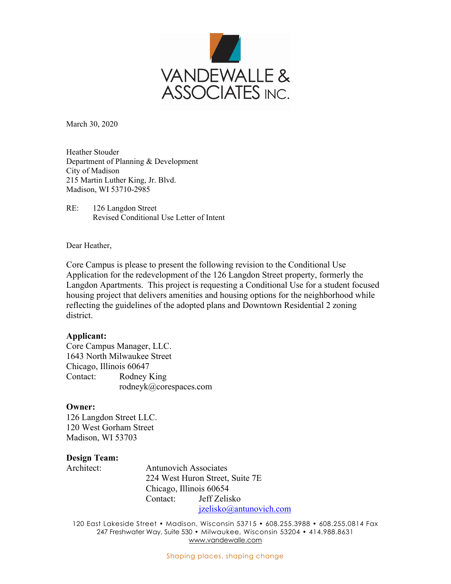

March 30, 2020

Heather Stouder Department of Planning & Development City of Madison 215 Martin Luther King, Jr. Blvd. Madison, WI 53710-2985

RE: 126 Langdon Street Revised Conditional Use Letter of Intent

Dear Heather,

Core Campus is please to present the following revision to the Conditional Use Application for the redevelopment of the 126 Langdon Street property, formerly the Langdon Apartments. This project is requesting a Conditional Use for a student focused housing project that delivers amenities and housing options for the neighborhood while reflecting the guidelines of the adopted plans and Downtown Residential 2 zoning district.

### **Applicant:**

Core Campus Manager, LLC. 1643 North Milwaukee Street Chicago, Illinois 60647 Contact: Rodney King rodneyk@corespaces.com

### **Owner:**

126 Langdon Street LLC. 120 West Gorham Street Madison, WI 53703

# **Design Team:**

Architect: Antunovich Associates 224 West Huron Street, Suite 7E Chicago, Illinois 60654 Contact: Jeff Zelisko jzelisko@antunovich.com

120 East Lakeside Street • Madison, Wisconsin 53715 • 608.255.3988 • 608.255.0814 Fax 247 Freshwater Way, Suite 530 • Milwaukee, Wisconsin 53204 • 414.988.8631 www.vandewalle.com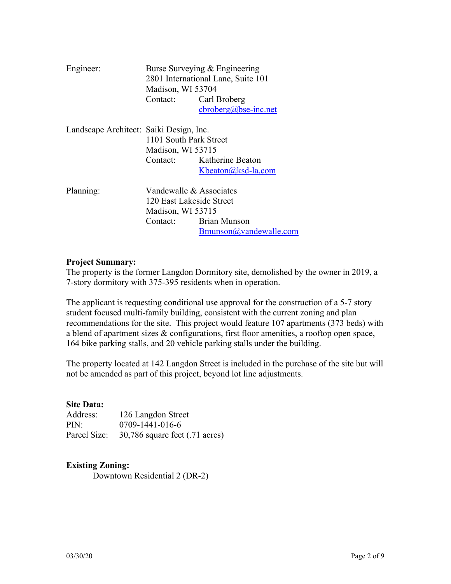| Engineer:                               | Madison, WI 53704<br>Contact:                                                        | Burse Surveying & Engineering<br>2801 International Lane, Suite 101<br>Carl Broberg<br>$cbroberg(a)$ bse-inc.net |
|-----------------------------------------|--------------------------------------------------------------------------------------|------------------------------------------------------------------------------------------------------------------|
| Landscape Architect: Saiki Design, Inc. | 1101 South Park Street<br>Madison, WI 53715<br>Contact:                              | Katherine Beaton<br>Kbeaton@ksd-la.com                                                                           |
| Planning:                               | Vandewalle & Associates<br>120 East Lakeside Street<br>Madison, WI 53715<br>Contact: | <b>Brian Munson</b><br>Bmunson@vandewalle.com                                                                    |

# **Project Summary:**

The property is the former Langdon Dormitory site, demolished by the owner in 2019, a 7-story dormitory with 375-395 residents when in operation.

The applicant is requesting conditional use approval for the construction of a 5-7 story student focused multi-family building, consistent with the current zoning and plan recommendations for the site. This project would feature 107 apartments (373 beds) with a blend of apartment sizes & configurations, first floor amenities, a rooftop open space, 164 bike parking stalls, and 20 vehicle parking stalls under the building.

The property located at 142 Langdon Street is included in the purchase of the site but will not be amended as part of this project, beyond lot line adjustments.

### **Site Data:**

| Address:     | 126 Langdon Street                         |
|--------------|--------------------------------------------|
| PIN:         | 0709-1441-016-6                            |
| Parcel Size: | $30,786$ square feet $(.71 \text{ acres})$ |

# **Existing Zoning:**

Downtown Residential 2 (DR-2)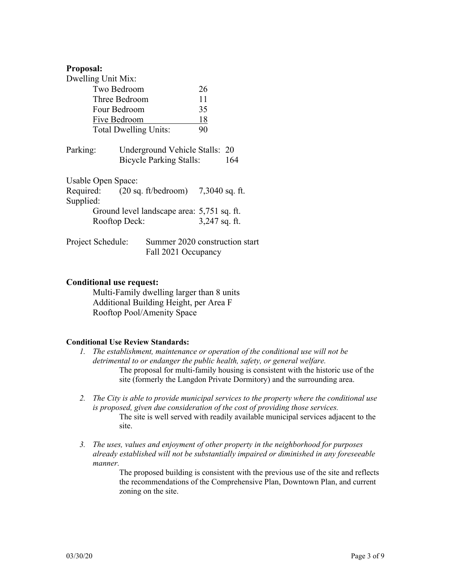### **Proposal:**

| Dwelling Unit Mix:                                     |  |                                                       |           |     |
|--------------------------------------------------------|--|-------------------------------------------------------|-----------|-----|
| Two Bedroom                                            |  |                                                       | 26        |     |
| Three Bedroom                                          |  |                                                       | 11        |     |
| Four Bedroom                                           |  |                                                       | 35        |     |
| Five Bedroom                                           |  |                                                       | <u>18</u> |     |
| <b>Total Dwelling Units:</b>                           |  |                                                       | 90        |     |
| Parking:                                               |  | Underground Vehicle Stalls: 20                        |           |     |
|                                                        |  | <b>Bicycle Parking Stalls:</b>                        |           | 164 |
| Usable Open Space:                                     |  |                                                       |           |     |
| Required: $(20 \text{ sq. ft/bedroom})$ 7,3040 sq. ft. |  |                                                       |           |     |
| Supplied:                                              |  |                                                       |           |     |
| Ground level landscape area: 5,751 sq. ft.             |  |                                                       |           |     |
| Rooftop Deck:                                          |  | 3,247 sq. ft.                                         |           |     |
| Project Schedule:                                      |  | Summer 2020 construction start<br>Fall 2021 Occupancy |           |     |

### **Conditional use request:**

 Multi-Family dwelling larger than 8 units Additional Building Height, per Area F Rooftop Pool/Amenity Space

### **Conditional Use Review Standards:**

- *1. The establishment, maintenance or operation of the conditional use will not be detrimental to or endanger the public health, safety, or general welfare.*  The proposal for multi-family housing is consistent with the historic use of the site (formerly the Langdon Private Dormitory) and the surrounding area.
- *2. The City is able to provide municipal services to the property where the conditional use is proposed, given due consideration of the cost of providing those services.*  The site is well served with readily available municipal services adjacent to the site.
- *3. The uses, values and enjoyment of other property in the neighborhood for purposes already established will not be substantially impaired or diminished in any foreseeable manner.*

The proposed building is consistent with the previous use of the site and reflects the recommendations of the Comprehensive Plan, Downtown Plan, and current zoning on the site.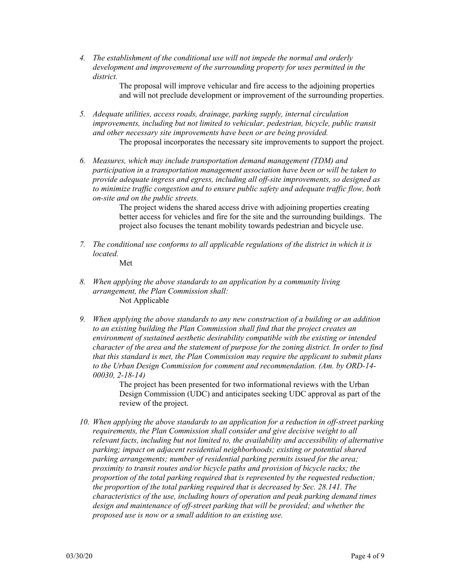*4. The establishment of the conditional use will not impede the normal and orderly development and improvement of the surrounding property for uses permitted in the district.* 

> The proposal will improve vehicular and fire access to the adjoining properties and will not preclude development or improvement of the surrounding properties.

*5. Adequate utilities, access roads, drainage, parking supply, internal circulation improvements, including but not limited to vehicular, pedestrian, bicycle, public transit and other necessary site improvements have been or are being provided.* 

The proposal incorporates the necessary site improvements to support the project.

*6. Measures, which may include transportation demand management (TDM) and participation in a transportation management association have been or will be taken to provide adequate ingress and egress, including all off-site improvements, so designed as to minimize traffic congestion and to ensure public safety and adequate traffic flow, both on-site and on the public streets.* 

> The project widens the shared access drive with adjoining properties creating better access for vehicles and fire for the site and the surrounding buildings. The project also focuses the tenant mobility towards pedestrian and bicycle use.

- *7. The conditional use conforms to all applicable regulations of the district in which it is located.*  Met
- *8. When applying the above standards to an application by a community living arrangement, the Plan Commission shall:*  Not Applicable
- *9. When applying the above standards to any new construction of a building or an addition to an existing building the Plan Commission shall find that the project creates an environment of sustained aesthetic desirability compatible with the existing or intended character of the area and the statement of purpose for the zoning district. In order to find that this standard is met, the Plan Commission may require the applicant to submit plans to the Urban Design Commission for comment and recommendation. (Am. by ORD-14- 00030, 2-18-14)*

The project has been presented for two informational reviews with the Urban Design Commission (UDC) and anticipates seeking UDC approval as part of the review of the project.

*10. When applying the above standards to an application for a reduction in off-street parking requirements, the Plan Commission shall consider and give decisive weight to all relevant facts, including but not limited to, the availability and accessibility of alternative parking; impact on adjacent residential neighborhoods; existing or potential shared parking arrangements; number of residential parking permits issued for the area; proximity to transit routes and/or bicycle paths and provision of bicycle racks; the proportion of the total parking required that is represented by the requested reduction; the proportion of the total parking required that is decreased by Sec. 28.141. The characteristics of the use, including hours of operation and peak parking demand times design and maintenance of off-street parking that will be provided; and whether the proposed use is now or a small addition to an existing use.*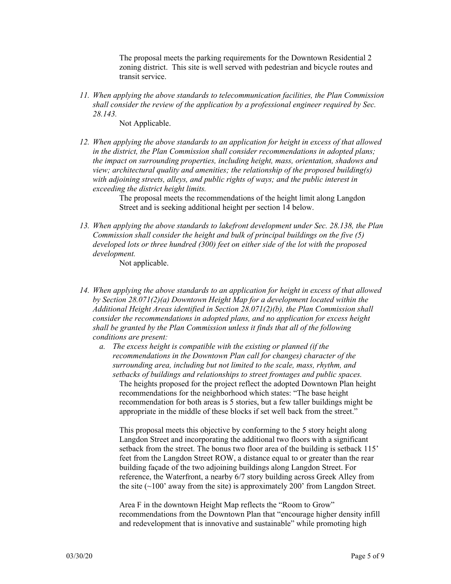The proposal meets the parking requirements for the Downtown Residential 2 zoning district. This site is well served with pedestrian and bicycle routes and transit service.

*11. When applying the above standards to telecommunication facilities, the Plan Commission shall consider the review of the application by a professional engineer required by Sec. 28.143.* 

Not Applicable.

*12. When applying the above standards to an application for height in excess of that allowed in the district, the Plan Commission shall consider recommendations in adopted plans; the impact on surrounding properties, including height, mass, orientation, shadows and view; architectural quality and amenities; the relationship of the proposed building(s) with adjoining streets, alleys, and public rights of ways; and the public interest in exceeding the district height limits.* 

> The proposal meets the recommendations of the height limit along Langdon Street and is seeking additional height per section 14 below.

*13. When applying the above standards to lakefront development under Sec. 28.138, the Plan Commission shall consider the height and bulk of principal buildings on the five (5) developed lots or three hundred (300) feet on either side of the lot with the proposed development.* 

Not applicable.

- *14. When applying the above standards to an application for height in excess of that allowed by Section 28.071(2)(a) Downtown Height Map for a development located within the Additional Height Areas identified in Section 28.071(2)(b), the Plan Commission shall consider the recommendations in adopted plans, and no application for excess height shall be granted by the Plan Commission unless it finds that all of the following conditions are present:* 
	- *a. The excess height is compatible with the existing or planned (if the recommendations in the Downtown Plan call for changes) character of the surrounding area, including but not limited to the scale, mass, rhythm, and setbacks of buildings and relationships to street frontages and public spaces.*  The heights proposed for the project reflect the adopted Downtown Plan height recommendations for the neighborhood which states: "The base height recommendation for both areas is 5 stories, but a few taller buildings might be appropriate in the middle of these blocks if set well back from the street."

This proposal meets this objective by conforming to the 5 story height along Langdon Street and incorporating the additional two floors with a significant setback from the street. The bonus two floor area of the building is setback 115' feet from the Langdon Street ROW, a distance equal to or greater than the rear building façade of the two adjoining buildings along Langdon Street. For reference, the Waterfront, a nearby 6/7 story building across Greek Alley from the site  $(\sim 100'$  away from the site) is approximately 200' from Langdon Street.

Area F in the downtown Height Map reflects the "Room to Grow" recommendations from the Downtown Plan that "encourage higher density infill and redevelopment that is innovative and sustainable" while promoting high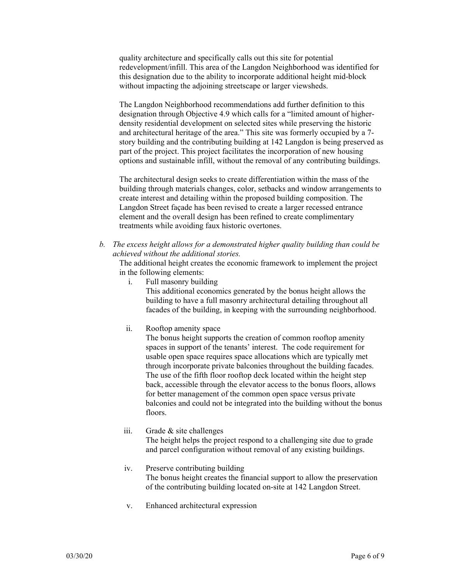quality architecture and specifically calls out this site for potential redevelopment/infill. This area of the Langdon Neighborhood was identified for this designation due to the ability to incorporate additional height mid-block without impacting the adjoining streetscape or larger viewsheds.

The Langdon Neighborhood recommendations add further definition to this designation through Objective 4.9 which calls for a "limited amount of higherdensity residential development on selected sites while preserving the historic and architectural heritage of the area." This site was formerly occupied by a 7 story building and the contributing building at 142 Langdon is being preserved as part of the project. This project facilitates the incorporation of new housing options and sustainable infill, without the removal of any contributing buildings.

The architectural design seeks to create differentiation within the mass of the building through materials changes, color, setbacks and window arrangements to create interest and detailing within the proposed building composition. The Langdon Street façade has been revised to create a larger recessed entrance element and the overall design has been refined to create complimentary treatments while avoiding faux historic overtones.

*b. The excess height allows for a demonstrated higher quality building than could be achieved without the additional stories.* 

The additional height creates the economic framework to implement the project in the following elements:

i. Full masonry building

This additional economics generated by the bonus height allows the building to have a full masonry architectural detailing throughout all facades of the building, in keeping with the surrounding neighborhood.

ii. Rooftop amenity space

The bonus height supports the creation of common rooftop amenity spaces in support of the tenants' interest. The code requirement for usable open space requires space allocations which are typically met through incorporate private balconies throughout the building facades. The use of the fifth floor rooftop deck located within the height step back, accessible through the elevator access to the bonus floors, allows for better management of the common open space versus private balconies and could not be integrated into the building without the bonus floors.

- iii. Grade & site challenges The height helps the project respond to a challenging site due to grade and parcel configuration without removal of any existing buildings.
- iv. Preserve contributing building The bonus height creates the financial support to allow the preservation of the contributing building located on-site at 142 Langdon Street.
- v. Enhanced architectural expression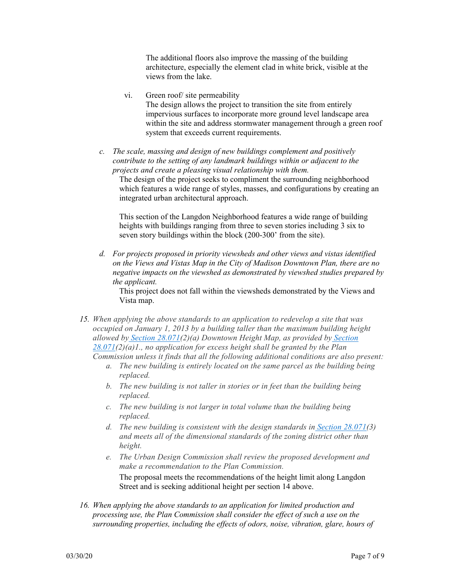The additional floors also improve the massing of the building architecture, especially the element clad in white brick, visible at the views from the lake.

- vi. Green roof/ site permeability The design allows the project to transition the site from entirely impervious surfaces to incorporate more ground level landscape area within the site and address stormwater management through a green roof system that exceeds current requirements.
- *c. The scale, massing and design of new buildings complement and positively contribute to the setting of any landmark buildings within or adjacent to the projects and create a pleasing visual relationship with them.*

The design of the project seeks to compliment the surrounding neighborhood which features a wide range of styles, masses, and configurations by creating an integrated urban architectural approach.

This section of the Langdon Neighborhood features a wide range of building heights with buildings ranging from three to seven stories including 3 six to seven story buildings within the block (200-300' from the site).

*d. For projects proposed in priority viewsheds and other views and vistas identified on the Views and Vistas Map in the City of Madison Downtown Plan, there are no negative impacts on the viewshed as demonstrated by viewshed studies prepared by the applicant.* 

This project does not fall within the viewsheds demonstrated by the Views and Vista map.

- *15. When applying the above standards to an application to redevelop a site that was occupied on January 1, 2013 by a building taller than the maximum building height allowed by Section 28.071(2)(a) Downtown Height Map, as provided by Section 28.071(2)(a)1., no application for excess height shall be granted by the Plan Commission unless it finds that all the following additional conditions are also present:*
	- *a. The new building is entirely located on the same parcel as the building being replaced.*
	- *b. The new building is not taller in stories or in feet than the building being replaced.*
	- *c. The new building is not larger in total volume than the building being replaced.*
	- *d. The new building is consistent with the design standards in Section 28.071(3) and meets all of the dimensional standards of the zoning district other than height.*
	- *e. The Urban Design Commission shall review the proposed development and make a recommendation to the Plan Commission.*

The proposal meets the recommendations of the height limit along Langdon Street and is seeking additional height per section 14 above.

*16. When applying the above standards to an application for limited production and processing use, the Plan Commission shall consider the effect of such a use on the surrounding properties, including the effects of odors, noise, vibration, glare, hours of*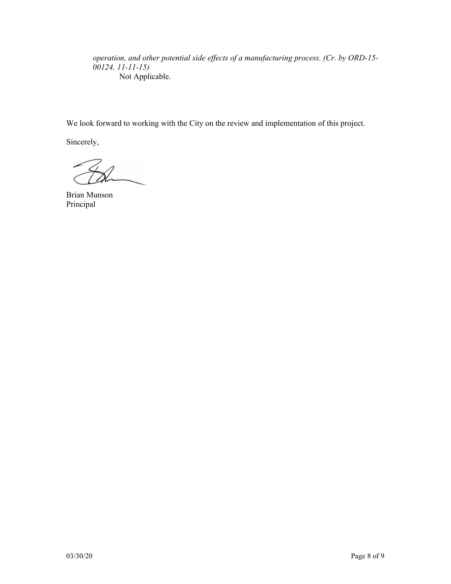*operation, and other potential side effects of a manufacturing process. (Cr. by ORD-15- 00124, 11-11-15)*  Not Applicable.

We look forward to working with the City on the review and implementation of this project.

Sincerely,

Brian Munson Principal